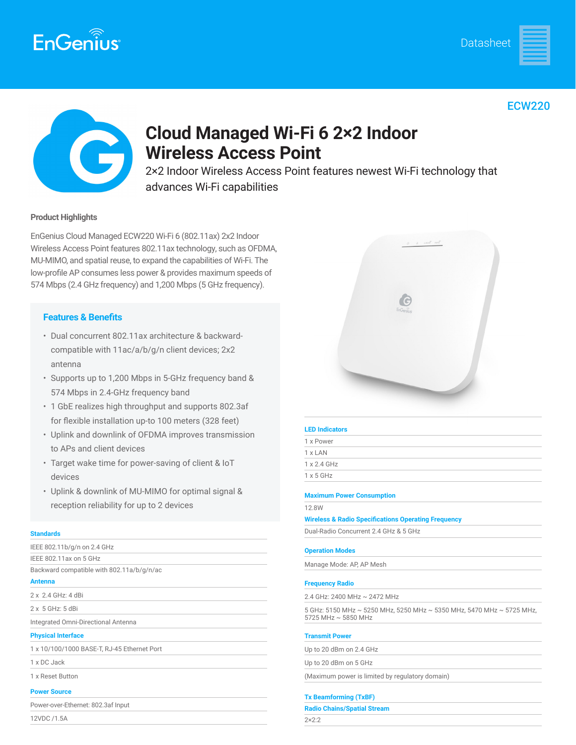







## **Cloud Managed Wi-Fi 6 2×2 Indoor Wireless Access Point**

2×2 Indoor Wireless Access Point features newest Wi-Fi technology that advances Wi-Fi capabilities

#### **Product Highlights**

EnGenius Cloud Managed ECW220 Wi-Fi 6 (802.11ax) 2x2 Indoor Wireless Access Point features 802.11ax technology, such as OFDMA, MU-MIMO, and spatial reuse, to expand the capabilities of Wi-Fi. The low-profile AP consumes less power & provides maximum speeds of 574 Mbps (2.4 GHz frequency) and 1,200 Mbps (5 GHz frequency).

### **Features & Benefits**

- Dual concurrent 802.11ax architecture & backwardcompatible with 11ac/a/b/g/n client devices; 2x2 antenna
- Supports up to 1,200 Mbps in 5-GHz frequency band & 574 Mbps in 2.4-GHz frequency band
- 1 GbE realizes high throughput and supports 802.3af for flexible installation up-to 100 meters (328 feet)
- Uplink and downlink of OFDMA improves transmission to APs and client devices
- Target wake time for power-saving of client & IoT devices
- Uplink & downlink of MU-MIMO for optimal signal & reception reliability for up to 2 devices

#### **Standards**

| IEEE 802.11b/g/n on 2.4 GHz                 |
|---------------------------------------------|
| IEEE 802.11ax on 5 GHz                      |
| Backward compatible with 802.11a/b/g/n/ac   |
| <b>Antenna</b>                              |
| 2 x 2.4 GHz: 4 dBi                          |
| $2 \times 5$ GHz: $5$ dBi                   |
| Integrated Omni-Directional Antenna         |
| <b>Physical Interface</b>                   |
| 1 x 10/100/1000 BASE-T, RJ-45 Ethernet Port |
| 1 x DC Jack                                 |
| 1 x Reset Button                            |
| <b>Power Source</b>                         |
| Power-over-Ethernet: 802.3af Input          |
| 12VDC /1 5A                                 |



#### **LED Indicators**

1 x Power 1 x LAN 1 x 2.4 GHz

1 x 5 GHz

#### **Maximum Power Consumption**

12.8W

**Wireless & Radio Specifications Operating Frequency**

Dual-Radio Concurrent 2.4 GHz & 5 GHz

#### **Operation Modes**

Manage Mode: AP, AP Mesh

#### **Frequency Radio**

2.4 GHz: 2400 MHz ~ 2472 MHz

5 GHz: 5150 MHz ~ 5250 MHz, 5250 MHz ~ 5350 MHz, 5470 MHz ~ 5725 MHz, 5725 MHz ~ 5850 MHz

#### **Transmit Power**

Up to 20 dBm on 2.4 GHz

Up to 20 dBm on 5 GHz

(Maximum power is limited by regulatory domain)

#### **Tx Beamforming (TxBF)**

**Radio Chains/Spatial Stream**

2×2:2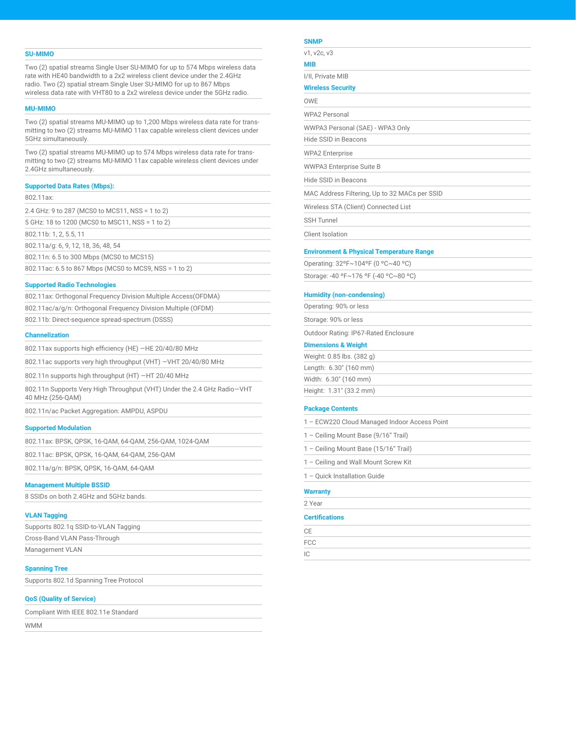#### **SU-MIMO**

Two (2) spatial streams Single User SU-MIMO for up to 574 Mbps wireless data rate with HE40 bandwidth to a 2x2 wireless client device under the 2.4GHz radio. Two (2) spatial stream Single User SU-MIMO for up to 867 Mbps wireless data rate with VHT80 to a 2x2 wireless device under the 5GHz radio.

#### **MU-MIMO**

Two (2) spatial streams MU-MIMO up to 1,200 Mbps wireless data rate for transmitting to two (2) streams MU-MIMO 11ax capable wireless client devices under 5GHz simultaneously.

Two (2) spatial streams MU-MIMO up to 574 Mbps wireless data rate for transmitting to two (2) streams MU-MIMO 11ax capable wireless client devices under 2.4GHz simultaneously.

#### **Supported Data Rates (Mbps):**

802.11ax:

2.4 GHz: 9 to 287 (MCS0 to MCS11, NSS = 1 to 2)

5 GHz: 18 to 1200 (MCS0 to MSC11, NSS = 1 to 2)

802.11b: 1, 2, 5.5, 11

802.11a/g: 6, 9, 12, 18, 36, 48, 54

802.11n: 6.5 to 300 Mbps (MCS0 to MCS15)

802.11ac: 6.5 to 867 Mbps (MCS0 to MCS9, NSS = 1 to 2)

#### **Supported Radio Technologies**

| 802.11ax: Orthogonal Frequency Division Multiple Access (OFDMA) |
|-----------------------------------------------------------------|
| 802.11ac/a/g/n: Orthogonal Frequency Division Multiple (OFDM)   |
| 802.11b: Direct-sequence spread-spectrum (DSSS)                 |

#### **Channelization**

802.11ax supports high efficiency (HE) —HE 20/40/80 MHz

802.11ac supports very high throughput (VHT) —VHT 20/40/80 MHz

802.11n supports high throughput (HT) —HT 20/40 MHz

802.11n Supports Very High Throughput (VHT) Under the 2.4 GHz Radio—VHT 40 MHz (256-QAM)

802.11n/ac Packet Aggregation: AMPDU, ASPDU

#### **Supported Modulation**

802.11ax: BPSK, QPSK, 16-QAM, 64-QAM, 256-QAM, 1024-QAM

802.11ac: BPSK, QPSK, 16-QAM, 64-QAM, 256-QAM

802.11a/g/n: BPSK, QPSK, 16-QAM, 64-QAM

#### **Management Multiple BSSID**

8 SSIDs on both 2.4GHz and 5GHz bands.

#### **VLAN Tagging**

| Supports 802.1g SSID-to-VLAN Tagging |  |
|--------------------------------------|--|
| Cross-Band VLAN Pass-Through         |  |
| Management VLAN                      |  |

#### **Spanning Tree**

Supports 802.1d Spanning Tree Protocol

#### **QoS (Quality of Service)**

Compliant With IEEE 802.11e Standard

WMM

#### **SNMP**

v1, v2c, v3

**MIB**

**Wireless Security**

OWE

WPA2 Personal

WWPA3 Personal (SAE) - WPA3 Only

Hide SSID in Beacons

WPA2 Enterprise

WWPA3 Enterprise Suite B

Hide SSID in Beacons

MAC Address Filtering, Up to 32 MACs per SSID

Wireless STA (Client) Connected List

SSH Tunnel

Client Isolation

#### **Environment & Physical Temperature Range**

| Operating: 32°F~104°F (0 °C~40 °C)    |  |
|---------------------------------------|--|
| Storage: -40 °F~176 °F (-40 °C~80 °C) |  |

#### **Humidity (non-condensing)**

Operating: 90% or less Storage: 90% or less

Outdoor Rating: IP67-Rated Enclosure

#### **Dimensions & Weight**

| Weight: 0.85 lbs. (382 g) |  |
|---------------------------|--|
| Length: 6.30" (160 mm)    |  |
| Width: 6.30" (160 mm)     |  |
| Height: 1.31" (33.2 mm)   |  |

#### **Package Contents**

| <b>Certifications</b>                        |  |
|----------------------------------------------|--|
| 2 Year                                       |  |
| <b>Warranty</b>                              |  |
| 1 - Ouick Installation Guide                 |  |
| 1 – Ceiling and Wall Mount Screw Kit         |  |
| 1 - Ceiling Mount Base (15/16" Trail)        |  |
| 1 - Ceiling Mount Base (9/16" Trail)         |  |
| 1 - ECW220 Cloud Managed Indoor Access Point |  |

| CE          |  |  |
|-------------|--|--|
| ${\sf FCC}$ |  |  |
| IC          |  |  |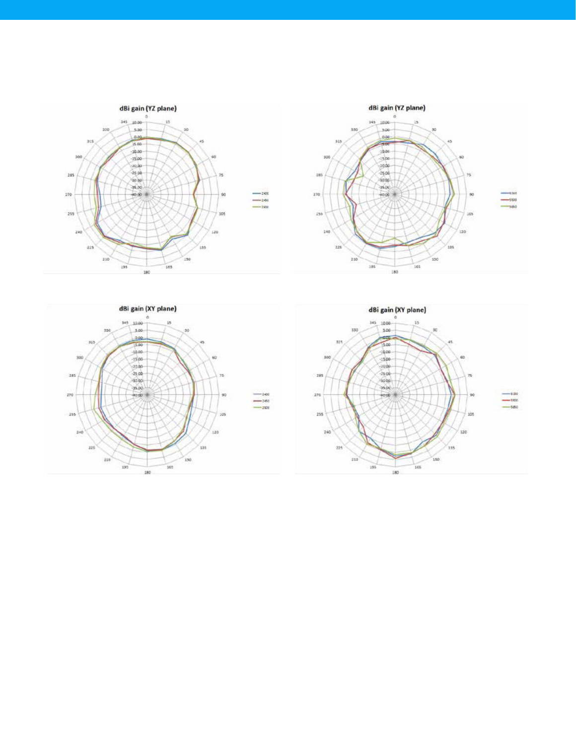